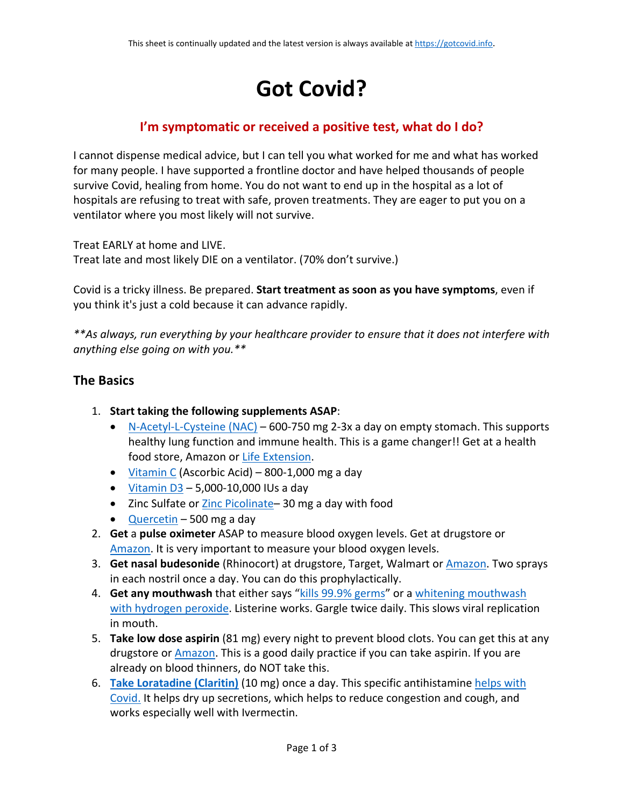## **Got Covid?**

## **I'm symptomatic or received a positive test, what do I do?**

I cannot dispense medical advice, but I can tell you what worked for me and what has worked for many people. I have supported a frontline doctor and have helped thousands of people survive Covid, healing from home. You do not want to end up in the hospital as a lot of hospitals are refusing to treat with safe, proven treatments. They are eager to put you on a ventilator where you most likely will not survive.

Treat EARLY at home and LIVE.

Treat late and most likely DIE on a ventilator. (70% don't survive.)

Covid is a tricky illness. Be prepared. **Start treatment as soon as you have symptoms**, even if you think it's just a cold because it can advance rapidly.

*\*\*As always, run everything by your healthcare provider to ensure that it does not interfere with anything else going on with you.\*\**

## **The Basics**

- 1. **Start taking the following supplements ASAP**:
	- [N-Acetyl-L-Cysteine \(NAC\)](https://www.lifeextension.com/vitamins-supplements/item01534/n-acetyl-l-cysteine)  600-750 mg 2-3x a day on empty stomach. This supports healthy lung function and immune health. This is a game changer!! Get at a health food store, Amazon or [Life Extension.](https://www.lifeextension.com/vitamins-supplements/item01534/n-acetyl-l-cysteine)
	- [Vitamin C](https://amzn.to/3ywTS6w) (Ascorbic Acid) 800-1,000 mg a day
	- [Vitamin D3](https://amzn.to/3yxkwfB)  5,000-10,000 IUs a day
	- Zinc Sulfate or Zinc Picolinate-30 mg a day with food
	- [Quercetin](https://amzn.to/38q79TN)  500 mg a day
- 2. **Get** a **pulse oximeter** ASAP to measure blood oxygen levels. Get at drugstore or [Amazon.](https://amzn.to/3BtwkBl) It is very important to measure your blood oxygen levels.
- 3. **Get nasal budesonide** (Rhinocort) at drugstore, Target, Walmart or [Amazon.](https://amzn.to/3BoIY4K) Two sprays in each nostril once a day. You can do this prophylactically.
- 4. **Get any mouthwash** that either says ["kills 99.9% germs"](https://amzn.to/2WEr5Qa) or a [whitening mouthwash](https://amzn.to/3yyehID)  [with hydrogen peroxide.](https://amzn.to/3yyehID) Listerine works. Gargle twice daily. This slows viral replication in mouth.
- 5. **Take low dose aspirin** (81 mg) every night to prevent blood clots. You can get this at any drugstore or [Amazon.](https://amzn.to/3yqW7sc) This is a good daily practice if you can take aspirin. If you are already on blood thinners, do NOT take this.
- 6. **[Take Loratadine \(Claritin\)](https://amzn.to/3nw2Yik)** (10 mg) once a day. This specific antihistamine [helps with](https://pubmed.ncbi.nlm.nih.gov/33609497/)  [Covid.](https://pubmed.ncbi.nlm.nih.gov/33609497/) It helps dry up secretions, which helps to reduce congestion and cough, and works especially well with Ivermectin.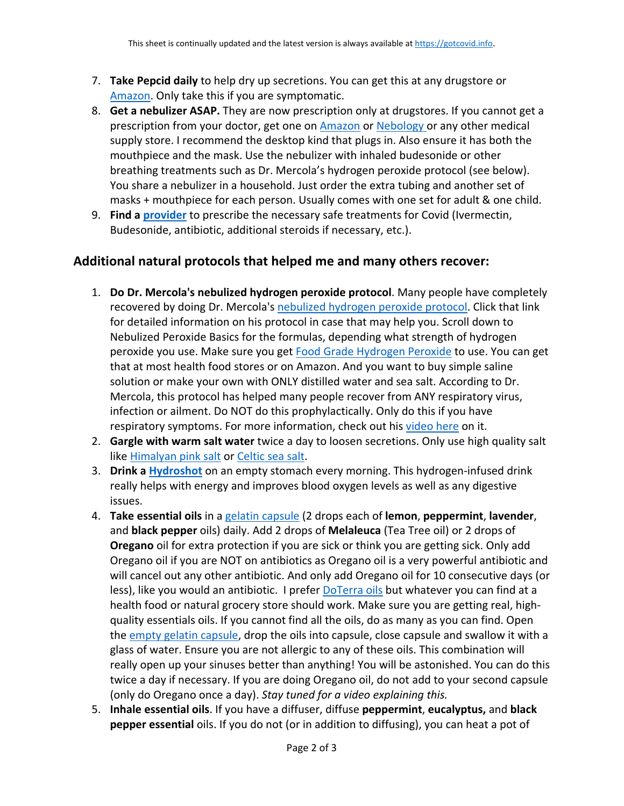- 7. **Take Pepcid daily** to help dry up secretions. You can get this at any drugstore or [Amazon.](https://amzn.to/2WGg55l) Only take this if you are symptomatic.
- 8. **Get a nebulizer ASAP.** They are now prescription only at drugstores. If you cannot get a prescription from your doctor, get one on [Amazon](https://amzn.to/3gMw5cW) or [Nebology](https://nebology.com/collections/tabletop-nebulizer-systems) or any other medical supply store. I recommend the desktop kind that plugs in. Also ensure it has both the mouthpiece and the mask. Use the nebulizer with inhaled budesonide or other breathing treatments such as Dr. Mercola's hydrogen peroxide protocol (see below). You share a nebulizer in a household. Just order the extra tubing and another set of masks + mouthpiece for each person. Usually comes with one set for adult & one child.
- 9. **Find a [provider](https://c19protocols.com/physicians-facilities-offering-early-treatment/)** to prescribe the necessary safe treatments for Covid (Ivermectin, Budesonide, antibiotic, additional steroids if necessary, etc.).

## **Additional natural protocols that helped me and many others recover:**

- 1. **Do Dr. Mercola's nebulized hydrogen peroxide protocol**. Many people have completely recovered by doing Dr. Mercola's [nebulized hydrogen peroxide protocol.](https://www.spiritofchange.org/nebulized-peroxide-a-simple-remedy-for-covid-19/) Click that link for detailed information on his protocol in case that may help you. Scroll down to Nebulized Peroxide Basics for the formulas, depending what strength of hydrogen peroxide you use. Make sure you get [Food Grade Hydrogen Peroxide](https://amzn.to/3hxoPlt) to use. You can get that at most health food stores or on Amazon. And you want to buy simple saline solution or make your own with ONLY distilled water and sea salt. According to Dr. Mercola, this protocol has helped many people recover from ANY respiratory virus, infection or ailment. Do NOT do this prophylactically. Only do this if you have respiratory symptoms. For more information, check out his [video here](https://vimeo.com/517836362) on it.
- 2. **Gargle with warm salt water** twice a day to loosen secretions. Only use high quality salt like [Himalyan pink salt](https://amzn.to/3BnfJPR) or [Celtic sea salt.](https://amzn.to/3BsfmmZ)
- 3. **Drink a [Hydroshot](https://h2bev.com/products/hydro-shot-lemon-lime-12-ct-case-free-shipping)** on an empty stomach every morning. This hydrogen-infused drink really helps with energy and improves blood oxygen levels as well as any digestive issues.
- 4. **Take essential oils** in a [gelatin capsule](https://amzn.to/3gNIWvu) (2 drops each of **lemon**, **peppermint**, **lavender**, and **black pepper** oils) daily. Add 2 drops of **Melaleuca** (Tea Tree oil) or 2 drops of **Oregano** oil for extra protection if you are sick or think you are getting sick. Only add Oregano oil if you are NOT on antibiotics as Oregano oil is a very powerful antibiotic and will cancel out any other antibiotic. And only add Oregano oil for 10 consecutive days (or less), like you would an antibiotic. I prefer [DoTerra oils](https://www.doterra.com/US/en/c/essential-oils) but whatever you can find at a health food or natural grocery store should work. Make sure you are getting real, highquality essentials oils. If you cannot find all the oils, do as many as you can find. Open the [empty gelatin capsule,](https://amzn.to/3gNIWvu) drop the oils into capsule, close capsule and swallow it with a glass of water. Ensure you are not allergic to any of these oils. This combination will really open up your sinuses better than anything! You will be astonished. You can do this twice a day if necessary. If you are doing Oregano oil, do not add to your second capsule (only do Oregano once a day). *Stay tuned for a video explaining this.*
- 5. **Inhale essential oils**. If you have a diffuser, diffuse **peppermint**, **eucalyptus,** and **black pepper essential** oils. If you do not (or in addition to diffusing), you can heat a pot of